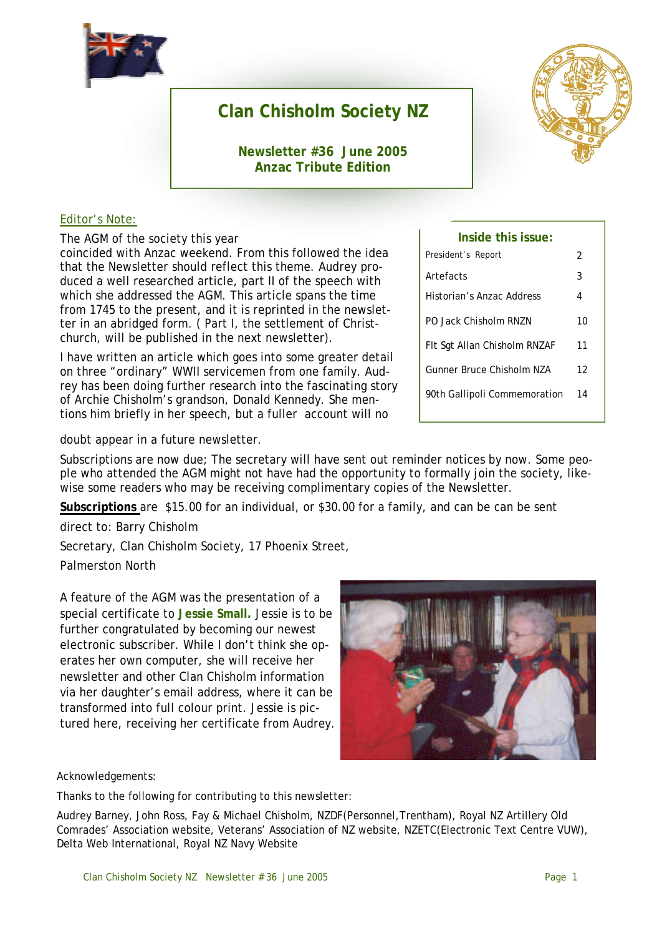

## **Clan Chisholm Society NZ**

**Newsletter #36 June 2005 Anzac Tribute Edition**



#### Editor's Note:

The AGM of the society this year

coincided with Anzac weekend. From this followed the idea that the Newsletter should reflect this theme. Audrey produced a well researched article, part II of the speech with which she addressed the AGM. This article spans the time from 1745 to the present, and it is reprinted in the newsletter in an abridged form. ( Part I, the settlement of Christchurch, will be published in the next newsletter).

I have written an article which goes into some greater detail on three "ordinary" WWII servicemen from one family. Audrey has been doing further research into the fascinating story of Archie Chisholm's grandson, Donald Kennedy. She mentions him briefly in her speech, but a fuller account will no

President's Report 2 Artefacts 3 Historian's Anzac Address 4 PO Jack Chisholm RNZN 10 Flt Sqt Allan Chisholm RNZAF 11 Gunner Bruce Chisholm NZA 12 90th Gallipoli Commemoration 14

**Inside this issue:**

doubt appear in a future newsletter.

Subscriptions are now due; The secretary will have sent out reminder notices by now. Some people who attended the AGM might not have had the opportunity to formally join the society, likewise some readers who may be receiving complimentary copies of the Newsletter.

**Subscriptions** are \$15.00 for an individual, or \$30.00 for a family, and can be can be sent

direct to: Barry Chisholm

Secretary, Clan Chisholm Society, 17 Phoenix Street,

Palmerston North

A feature of the AGM was the presentation of a special certificate to **Jessie Small.** Jessie is to be further congratulated by becoming our newest electronic subscriber. While I don't think she operates her own computer, she will receive her newsletter and other Clan Chisholm information via her daughter's email address, where it can be transformed into full colour print. Jessie is pictured here, receiving her certificate from Audrey.



Acknowledgements:

Thanks to the following for contributing to this newsletter:

Audrey Barney, John Ross, Fay & Michael Chisholm, NZDF(Personnel,Trentham), Royal NZ Artillery Old Comrades' Association website, Veterans' Association of NZ website, NZETC(Electronic Text Centre VUW), Delta Web International, Royal NZ Navy Website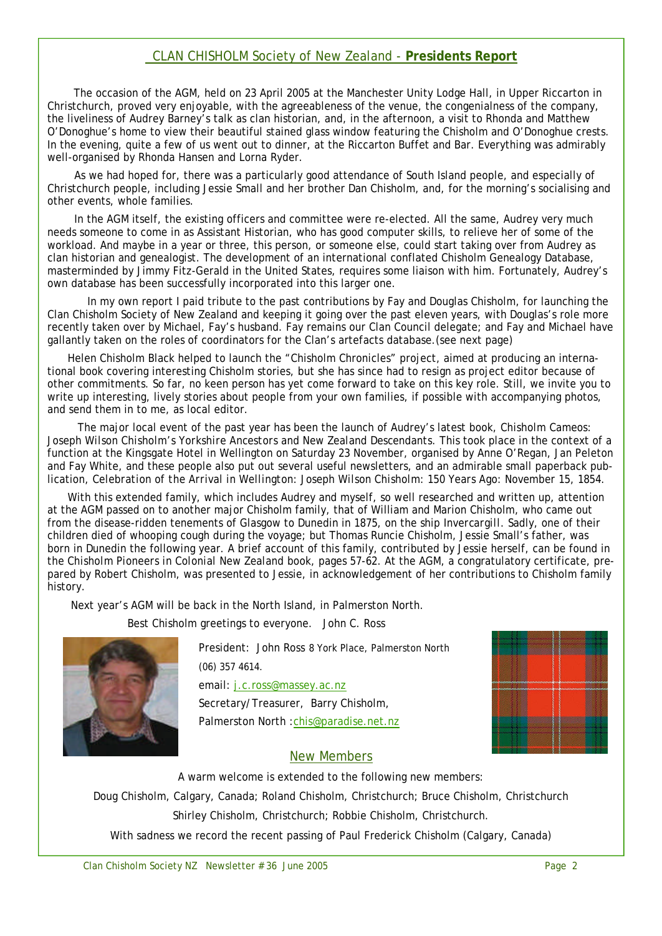#### CLAN CHISHOLM Society of New Zealand - **Presidents Report**

The occasion of the AGM, held on 23 April 2005 at the Manchester Unity Lodge Hall, in Upper Riccarton in Christchurch, proved very enjoyable, with the agreeableness of the venue, the congenialness of the company, the liveliness of Audrey Barney's talk as clan historian, and, in the afternoon, a visit to Rhonda and Matthew O'Donoghue's home to view their beautiful stained glass window featuring the Chisholm and O'Donoghue crests. In the evening, quite a few of us went out to dinner, at the Riccarton Buffet and Bar. Everything was admirably well-organised by Rhonda Hansen and Lorna Ryder.

As we had hoped for, there was a particularly good attendance of South Island people, and especially of Christchurch people, including Jessie Small and her brother Dan Chisholm, and, for the morning's socialising and other events, whole families.

In the AGM itself, the existing officers and committee were re-elected. All the same, Audrey very much needs someone to come in as Assistant Historian, who has good computer skills, to relieve her of some of the workload. And maybe in a year or three, this person, or someone else, could start taking over from Audrey as clan historian and genealogist. The development of an international conflated Chisholm Genealogy Database, masterminded by Jimmy Fitz-Gerald in the United States, requires some liaison with him. Fortunately, Audrey's own database has been successfully incorporated into this larger one.

In my own report I paid tribute to the past contributions by Fay and Douglas Chisholm, for launching the Clan Chisholm Society of New Zealand and keeping it going over the past eleven years, with Douglas's role more recently taken over by Michael, Fay's husband. Fay remains our Clan Council delegate; and Fay and Michael have gallantly taken on the roles of coordinators for the Clan's artefacts database.(see next page)

Helen Chisholm Black helped to launch the "Chisholm Chronicles" project, aimed at producing an international book covering interesting Chisholm stories, but she has since had to resign as project editor because of other commitments. So far, no keen person has yet come forward to take on this key role. Still, we invite you to write up interesting, lively stories about people from your own families, if possible with accompanying photos, and send them in to me, as local editor.

The major local event of the past year has been the launch of Audrey's latest book, *Chisholm Cameos:*  Joseph Wilson Chisholm's Yorkshire Ancestors and New Zealand Descendants. This took place in the context of a function at the Kingsgate Hotel in Wellington on Saturday 23 November, organised by Anne O'Regan, Jan Peleton and Fay White, and these people also put out several useful newsletters, and an admirable small paperback publication, *Celebration of the Arrival in Wellington: Joseph Wilson Chisholm: 150 Years Ago: November 15, 1854.*

With this extended family, which includes Audrey and myself, so well researched and written up, attention at the AGM passed on to another major Chisholm family, that of William and Marion Chisholm, who came out from the disease-ridden tenements of Glasgow to Dunedin in 1875, on the ship *Invercargill.* Sadly, one of their children died of whooping cough during the voyage; but Thomas Runcie Chisholm, Jessie Small's father, was born in Dunedin the following year. A brief account of this family, contributed by Jessie herself, can be found in the *Chisholm Pioneers in Colonial New Zealand* book, pages 57-62. At the AGM, a congratulatory certificate, prepared by Robert Chisholm, was presented to Jessie, in acknowledgement of her contributions to Chisholm family history.

Next year's AGM will be back in the North Island, in Palmerston North.

Best Chisholm greetings to everyone. John C. Ross



President: John Ross 8 York Place, Palmerston North (06) 357 4614. email: j.c.ross@massey.ac.nz Secretary/Treasurer, Barry Chisholm, Palmerston North : chis@paradise.net.nz



#### New Members

A warm welcome is extended to the following new members:

Doug Chisholm, Calgary, Canada; Roland Chisholm, Christchurch; Bruce Chisholm, Christchurch

Shirley Chisholm, Christchurch; Robbie Chisholm, Christchurch.

With sadness we record the recent passing of Paul Frederick Chisholm (Calgary, Canada)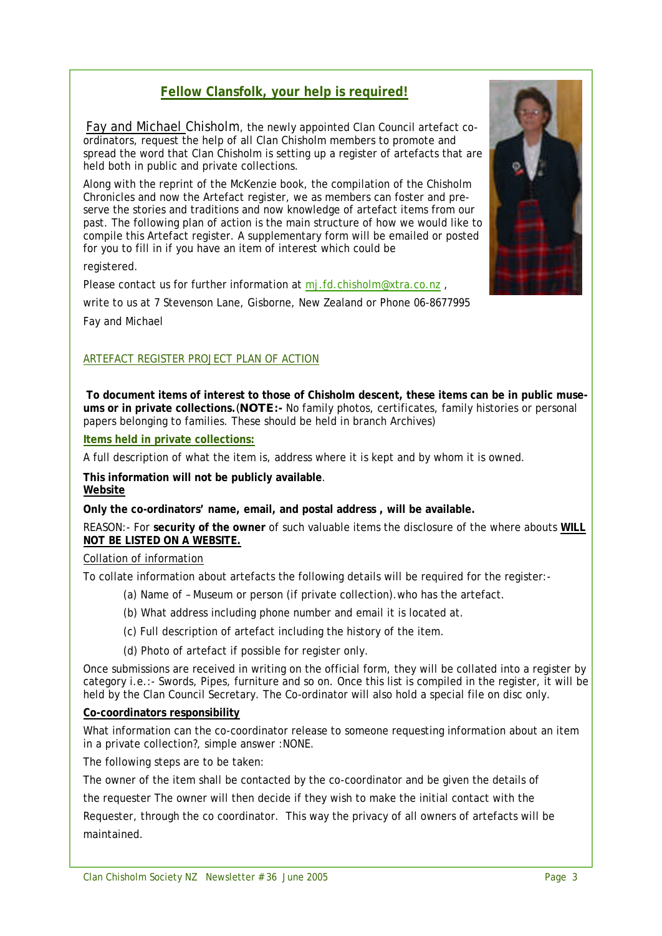## **Fellow Clansfolk, your help is required!**

Fay and Michael Chisholm, the newly appointed Clan Council artefact coordinators, request the help of all Clan Chisholm members to promote and spread the word that Clan Chisholm is setting up a register of artefacts that are held both in public and private collections.

Along with the reprint of the McKenzie book, the compilation of the Chisholm Chronicles and now the Artefact register, we as members can foster and preserve the stories and traditions and now knowledge of artefact items from our past. The following plan of action is the main structure of how we would like to compile this Artefact register. A supplementary form will be emailed or posted for you to fill in if you have an item of interest which could be

registered.

Please contact us for further information at mj.fd.chisholm@xtra.co.nz,

write to us at 7 Stevenson Lane, Gisborne, New Zealand or Phone 06-8677995

Fay and Michael

#### ARTEFACT REGISTER PROJECT PLAN OF ACTION

**To document items of interest to those of Chisholm descent, these items can be in public museums or in private collections.**(**NOTE:-** No family photos, certificates, family histories or personal papers belonging to families. These should be held in branch Archives)

**Items held in private collections:**

A full description of what the item is, address where it is kept and by whom it is owned.

**This information will not be publicly available**. **Website**

**Only the co-ordinators' name, email, and postal address , will be available.**

REASON:- For **security of the owner** of such valuable items the disclosure of the where abouts **WILL NOT BE LISTED ON A WEBSITE.** 

#### Collation of information

To collate information about artefacts the following details will be required for the register:-

- (a) Name of Museum or person (if private collection).who has the artefact.
- (b) What address including phone number and email it is located at.
- (c) Full description of artefact including the history of the item.
- (d) Photo of artefact if possible for register only.

Once submissions are received in writing on the official form, they will be collated into a register by category i.e.:- Swords, Pipes, furniture and so on. Once this list is compiled in the register, it will be held by the Clan Council Secretary. The Co-ordinator will also hold a special file on disc only.

#### **Co-coordinators responsibility**

What information can the co-coordinator release to someone requesting information about an item in a private collection?, simple answer :NONE.

The following steps are to be taken:

The owner of the item shall be contacted by the co-coordinator and be given the details of

the requester The owner will then decide if they wish to make the initial contact with the Requester, through the co coordinator. This way the privacy of all owners of artefacts will be maintained.

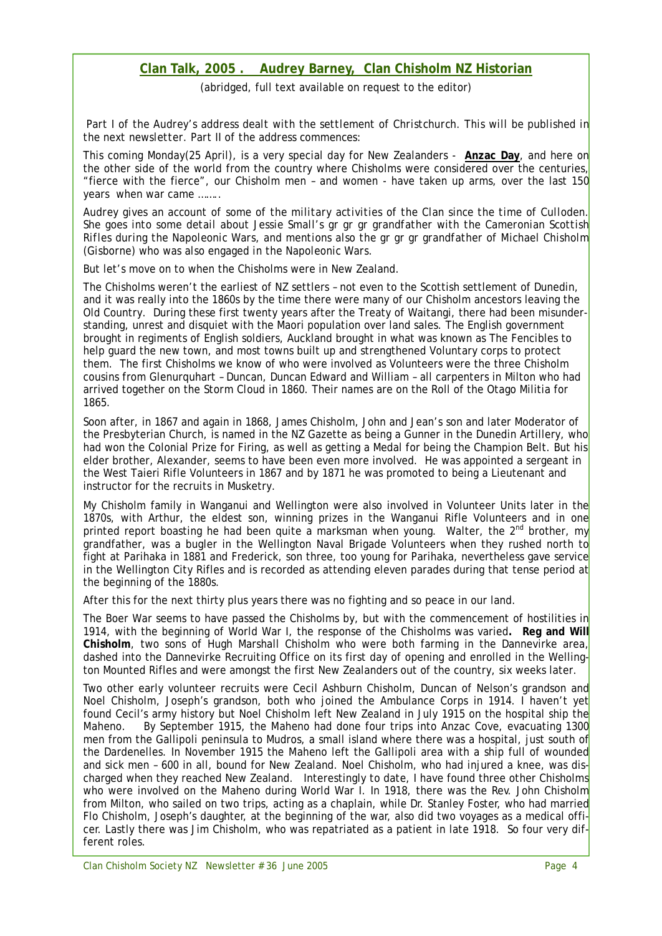#### **Clan Talk, 2005 . Audrey Barney, Clan Chisholm NZ Historian**

(abridged, full text available on request to the editor)

*Part I of the Audrey's address dealt with the settlement of Christchurch. This will be published in the next newsletter. Part II of the address commences:*

This coming Monday(25 April), is a very special day for New Zealanders - **Anzac Day**, and here on the other side of the world from the country where Chisholms were considered over the centuries, "fierce with the fierce", our Chisholm men - and women - have taken up arms, over the last  $150$ years when war came ……..

*Audrey gives an account of some of the military activities of the Clan since the time of Culloden. She goes into some detail about Jessie Small's gr gr gr grandfather with the Cameronian Scottish Rifles during the Napoleonic Wars, and mentions also the gr gr gr grandfather of Michael Chisholm (Gisborne) who was also engaged in the Napoleonic Wars.*

But let's move on to when the Chisholms were in New Zealand.

The Chisholms weren't the earliest of NZ settlers – not even to the Scottish settlement of Dunedin, and it was really into the 1860s by the time there were many of our Chisholm ancestors leaving the Old Country. During these first twenty years after the Treaty of Waitangi, there had been misunderstanding, unrest and disquiet with the Maori population over land sales. The English government brought in regiments of English soldiers, Auckland brought in what was known as The Fencibles to help guard the new town, and most towns built up and strengthened Voluntary corps to protect them. The first Chisholms we know of who were involved as Volunteers were the three Chisholm cousins from Glenurquhart – Duncan, Duncan Edward and William – all carpenters in Milton who had arrived together on the *Storm Cloud* in 1860. Their names are on the Roll of the Otago Militia for 1865.

Soon after, in 1867 and again in 1868, James Chisholm, John and Jean's son and later Moderator of the Presbyterian Church, is named in the NZ Gazette as being a Gunner in the Dunedin Artillery, who had won the Colonial Prize for Firing, as well as getting a Medal for being the Champion Belt. But his elder brother, Alexander, seems to have been even more involved. He was appointed a sergeant in the West Taieri Rifle Volunteers in 1867 and by 1871 he was promoted to being a Lieutenant and instructor for the recruits in Musketry.

My Chisholm family in Wanganui and Wellington were also involved in Volunteer Units later in the 1870s, with Arthur, the eldest son, winning prizes in the Wanganui Rifle Volunteers and in one printed report boasting he had been quite a marksman when young. Walter, the  $2^{nd}$  brother, my grandfather, was a bugler in the Wellington Naval Brigade Volunteers when they rushed north to fight at Parihaka in 1881 and Frederick, son three, too young for Parihaka, nevertheless gave service in the Wellington City Rifles and is recorded as attending eleven parades during that tense period at the beginning of the 1880s.

After this for the next thirty plus years there was no fighting and so peace in our land.

The Boer War seems to have passed the Chisholms by, but with the commencement of hostilities in 1914, with the beginning of World War I, the response of the Chisholms was varied**. Reg and Will Chisholm**, two sons of Hugh Marshall Chisholm who were both farming in the Dannevirke area, dashed into the Dannevirke Recruiting Office on its first day of opening and enrolled in the Wellington Mounted Rifles and were amongst the first New Zealanders out of the country, six weeks later.

Two other early volunteer recruits were Cecil Ashburn Chisholm, Duncan of Nelson's grandson and Noel Chisholm, Joseph's grandson, both who joined the Ambulance Corps in 1914. I haven't yet found Cecil's army history but Noel Chisholm left New Zealand in July 1915 on the hospital ship the *Maheno.* By September 1915, the *Maheno* had done four trips into Anzac Cove, evacuating 1300 men from the Gallipoli peninsula to Mudros, a small island where there was a hospital, just south of the Dardenelles. In November 1915 the *Maheno* left the Gallipoli area with a ship full of wounded and sick men – 600 in all, bound for New Zealand. Noel Chisholm, who had injured a knee, was discharged when they reached New Zealand. Interestingly to date, I have found three other Chisholms who were involved on the *Maheno* during World War I. In 1918, there was the Rev. John Chisholm from Milton, who sailed on two trips, acting as a chaplain, while Dr. Stanley Foster, who had married Flo Chisholm, Joseph's daughter, at the beginning of the war, also did two voyages as a medical officer. Lastly there was Jim Chisholm, who was repatriated as a patient in late 1918. So four very different roles.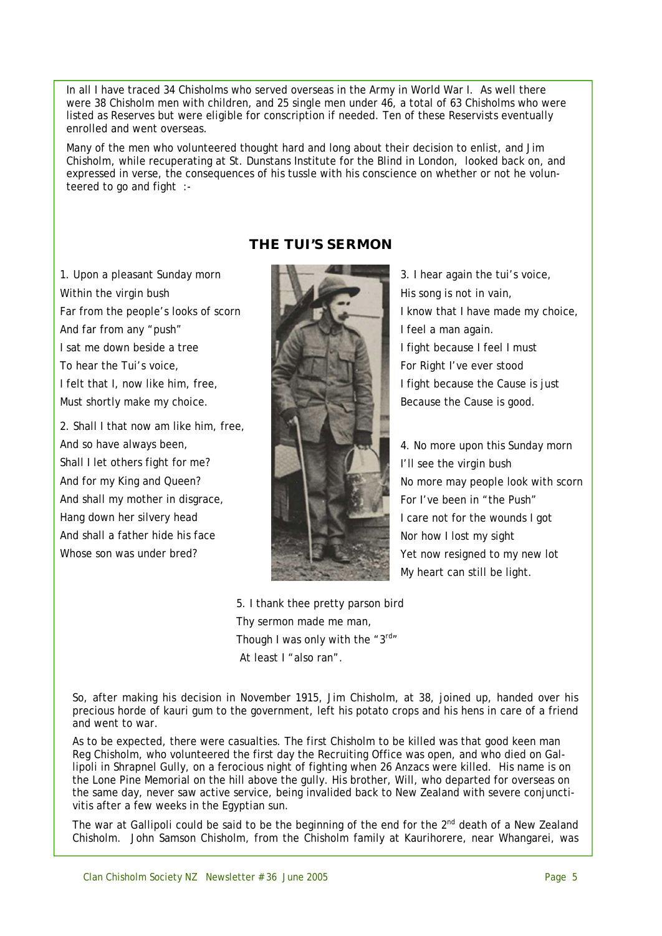In all I have traced 34 Chisholms who served overseas in the Army in World War I. As well there were 38 Chisholm men with children, and 25 single men under 46, a total of 63 Chisholms who were listed as Reserves but were eligible for conscription if needed. Ten of these Reservists eventually enrolled and went overseas.

Many of the men who volunteered thought hard and long about their decision to enlist, and Jim Chisholm, while recuperating at St. Dunstans Institute for the Blind in London, looked back on, and expressed in verse, the consequences of his tussle with his conscience on whether or not he volunteered to go and fight :-

## **THE TUI'S SERMON**

1. Upon a pleasant Sunday morn Within the virgin bush Far from the people's looks of scorn And far from any "push" I sat me down beside a tree To hear the Tui's voice, I felt that I, now like him, free, Must shortly make my choice.

2. Shall I that now am like him, free, And so have always been, Shall I let others fight for me? And for my King and Queen? And shall my mother in disgrace, Hang down her silvery head And shall a father hide his face Whose son was under bred?



3. I hear again the tui's voice, His song is not in vain, I know that I have made my choice, I feel a man again. I fight because I feel I must For Right I've ever stood I fight because the Cause is just Because the Cause is good.

4. No more upon this Sunday morn I'll see the virgin bush No more may people look with scorn For I've been in "the Push" I care not for the wounds I got Nor how I lost my sight Yet now resigned to my new lot My heart can still be light.

5. I thank thee pretty parson bird Thy sermon made me man, Though I was only with the  $"3<sup>rd"</sup>$ At least I "also ran".

So, after making his decision in November 1915, Jim Chisholm, at 38, joined up, handed over his precious horde of kauri gum to the government, left his potato crops and his hens in care of a friend and went to war.

As to be expected, there were casualties. The first Chisholm to be killed was that good keen man Reg Chisholm, who volunteered the first day the Recruiting Office was open, and who died on Gallipoli in Shrapnel Gully, on a ferocious night of fighting when 26 Anzacs were killed. His name is on the Lone Pine Memorial on the hill above the gully. His brother, Will, who departed for overseas on the same day, never saw active service, being invalided back to New Zealand with severe conjunctivitis after a few weeks in the Egyptian sun.

The war at Gallipoli could be said to be the beginning of the end for the  $2^{nd}$  death of a New Zealand Chisholm. John Samson Chisholm, from the Chisholm family at Kaurihorere, near Whangarei, was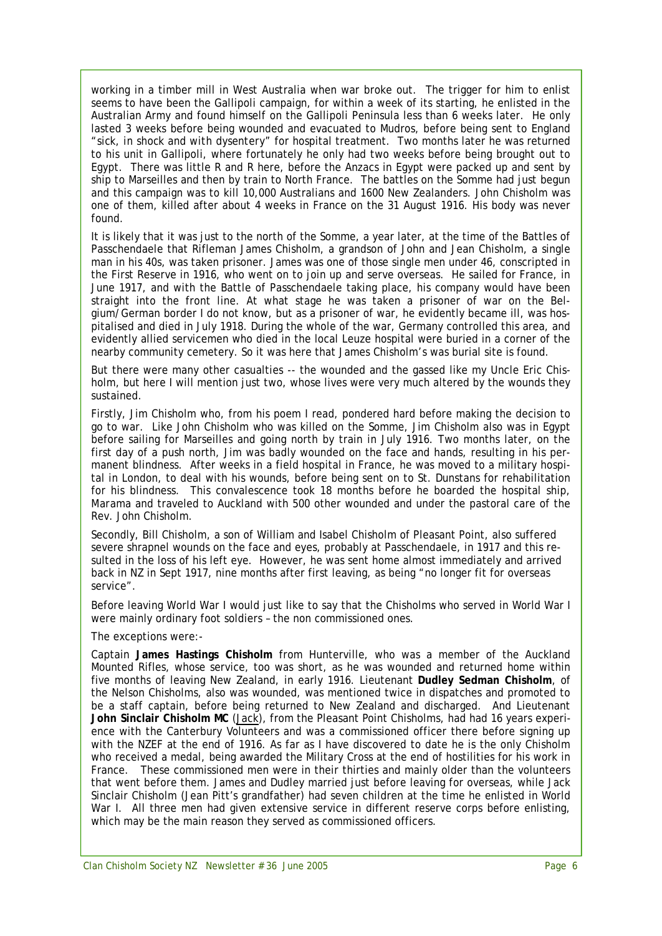working in a timber mill in West Australia when war broke out. The trigger for him to enlist seems to have been the Gallipoli campaign, for within a week of its starting, he enlisted in the Australian Army and found himself on the Gallipoli Peninsula less than 6 weeks later. He only lasted 3 weeks before being wounded and evacuated to Mudros, before being sent to England "*sick, in shock and with dysentery*" for hospital treatment. Two months later he was returned to his unit in Gallipoli, where fortunately he only had two weeks before being brought out to Egypt. There was little R and R here, before the Anzacs in Egypt were packed up and sent by ship to Marseilles and then by train to North France. The battles on the Somme had just begun and this campaign was to kill 10,000 Australians and 1600 New Zealanders. John Chisholm was one of them, killed after about 4 weeks in France on the 31 August 1916. His body was never found.

It is likely that it was just to the north of the Somme, a year later, at the time of the Battles of Passchendaele that Rifleman James Chisholm, a grandson of John and Jean Chisholm, a single man in his 40s, was taken prisoner. James was one of those single men under 46, conscripted in the First Reserve in 1916, who went on to join up and serve overseas. He sailed for France, in June 1917, and with the Battle of Passchendaele taking place, his company would have been straight into the front line. At what stage he was taken a prisoner of war on the Belgium/German border I do not know, but as a prisoner of war, he evidently became ill, was hospitalised and died in July 1918. During the whole of the war, Germany controlled this area, and evidently allied servicemen who died in the local Leuze hospital were buried in a corner of the nearby community cemetery. So it was here that James Chisholm's was burial site is found.

But there were many other casualties -- the wounded and the gassed like my Uncle Eric Chisholm, but here I will mention just two, whose lives were very much altered by the wounds they sustained.

Firstly, Jim Chisholm who, from his poem I read, pondered hard before making the decision to go to war. Like John Chisholm who was killed on the Somme, Jim Chisholm also was in Egypt before sailing for Marseilles and going north by train in July 1916. Two months later, on the first day of a push north, Jim was badly wounded on the face and hands, resulting in his permanent blindness. After weeks in a field hospital in France, he was moved to a military hospital in London, to deal with his wounds, before being sent on to St. Dunstans for rehabilitation for his blindness. This convalescence took 18 months before he boarded the hospital ship, *Marama* and traveled to Auckland with 500 other wounded and under the pastoral care of the Rev. John Chisholm.

Secondly, Bill Chisholm, a son of William and Isabel Chisholm of Pleasant Point, also suffered severe shrapnel wounds on the face and eyes, probably at Passchendaele, in 1917 and this resulted in the loss of his left eye. However, he was sent home almost immediately and arrived back in NZ in Sept 1917, nine months after first leaving, as being "no longer fit for overseas service".

Before leaving World War I would just like to say that the Chisholms who served in World War I were mainly ordinary foot soldiers – the non commissioned ones.

The exceptions were:-

Captain **James Hastings Chisholm** from Hunterville, who was a member of the Auckland Mounted Rifles, whose service, too was short, as he was wounded and returned home within five months of leaving New Zealand, in early 1916. Lieutenant **Dudley Sedman Chisholm**, of the Nelson Chisholms, also was wounded, was mentioned twice in dispatches and promoted to be a staff captain, before being returned to New Zealand and discharged. And Lieutenant **John Sinclair Chisholm MC** (Jack), from the Pleasant Point Chisholms, had had 16 years experience with the Canterbury Volunteers and was a commissioned officer there before signing up with the NZEF at the end of 1916. As far as I have discovered to date he is the only Chisholm who received a medal, being awarded the Military Cross at the end of hostilities for his work in France. These commissioned men were in their thirties and mainly older than the volunteers that went before them. James and Dudley married just before leaving for overseas, while Jack Sinclair Chisholm (Jean Pitt's grandfather) had seven children at the time he enlisted in World War I. All three men had given extensive service in different reserve corps before enlisting, which may be the main reason they served as commissioned officers.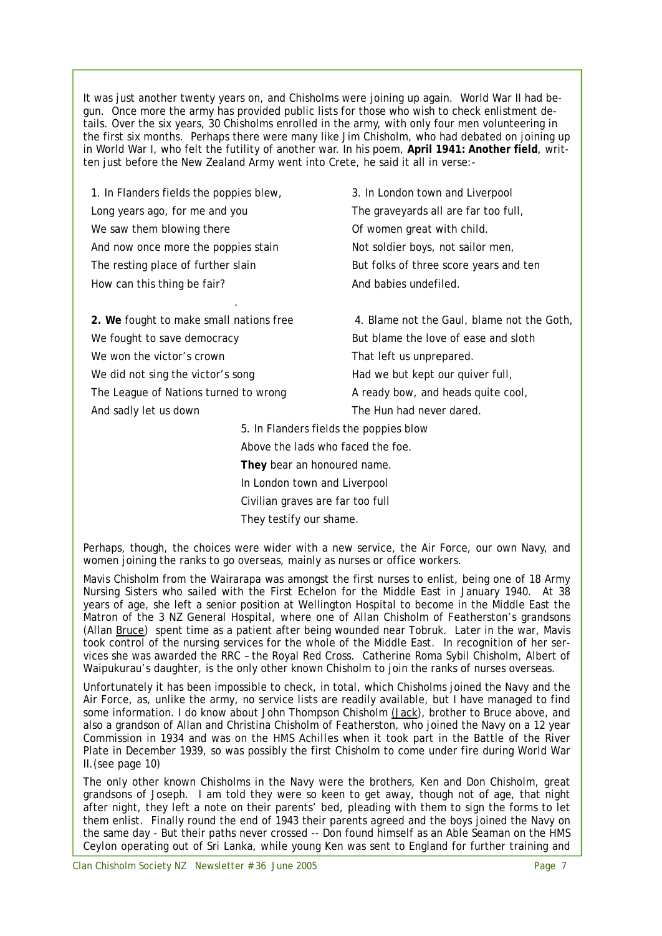It was just another twenty years on, and Chisholms were joining up again. World War II had begun. Once more the army has provided public lists for those who wish to check enlistment details. Over the six years, 30 Chisholms enrolled in the army, with only four men volunteering in the first six months. Perhaps there were many like Jim Chisholm, who had debated on joining up in World War I, who felt the futility of another war. In his poem, **April 1941: Another field**, written just before the New Zealand Army went into Crete, he said it all in verse:-

1. In Flanders fields the poppies blew, Long years ago, for me and you We saw them blowing there And now once more the poppies stain The resting place of further slain How can this thing be fair?

**2. We** fought to make small nations free We fought to save democracy We won the victor's crown We did not sing the victor's song The League of Nations turned to wrong And sadly let us down

.

3. In London town and Liverpool The graveyards all are far too full, Of women great with child. Not soldier boys, not sailor men, But folks of three score years and ten And babies undefiled.

4. Blame not the Gaul, blame not the Goth, But blame the love of ease and sloth That left us unprepared. Had we but kept our quiver full, A ready bow, and heads quite cool, The Hun had never dared.

5. In Flanders fields the poppies blow Above the lads who faced the foe. **They** bear an honoured name. In London town and Liverpool Civilian graves are far too full They testify our shame.

Perhaps, though, the choices were wider with a new service, the Air Force, our own Navy, and women joining the ranks to go overseas, mainly as nurses or office workers.

Mavis Chisholm from the Wairarapa was amongst the first nurses to enlist, being one of 18 Army Nursing Sisters who sailed with the First Echelon for the Middle East in January 1940. At 38 years of age, she left a senior position at Wellington Hospital to become in the Middle East the Matron of the 3 NZ General Hospital, where one of Allan Chisholm of Featherston's grandsons (Allan Bruce) spent time as a patient after being wounded near Tobruk. Later in the war, Mavis took control of the nursing services for the whole of the Middle East. In recognition of her services she was awarded the RRC – the Royal Red Cross. Catherine Roma Sybil Chisholm, Albert of Waipukurau's daughter, is the only other known Chisholm to join the ranks of nurses overseas.

Unfortunately it has been impossible to check, in total, which Chisholms joined the Navy and the Air Force, as, unlike the army, no service lists are readily available, but I have managed to find some information. I do know about John Thompson Chisholm (Jack), brother to Bruce above, and also a grandson of Allan and Christina Chisholm of Featherston, who joined the Navy on a 12 year Commission in 1934 and was on the *HMS Achilles* when it took part in the Battle of the River Plate in December 1939, so was possibly the first Chisholm to come under fire during World War II.(see page 10)

The only other known Chisholms in the Navy were the brothers, Ken and Don Chisholm, great grandsons of Joseph. I am told they were so keen to get away, though not of age, that night after night, they left a note on their parents' bed, pleading with them to sign the forms to let them enlist. Finally round the end of 1943 their parents agreed and the boys joined the Navy on the same day - But their paths never crossed -- Don found himself as an Able Seaman on the *HMS Ceylon* operating out of Sri Lanka, while young Ken was sent to England for further training and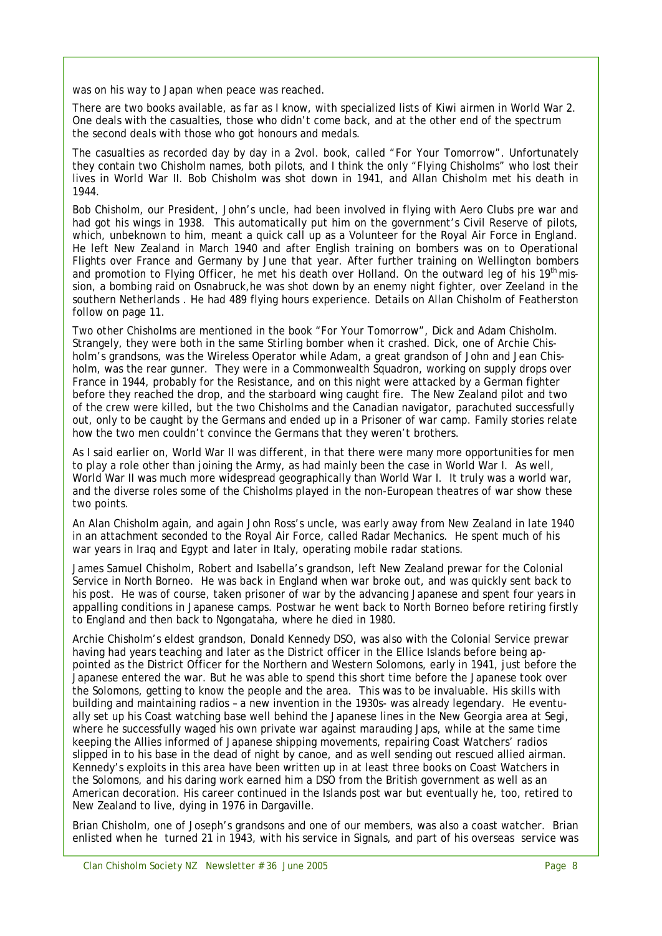was on his way to Japan when peace was reached.

There are two books available, as far as I know, with specialized lists of Kiwi airmen in World War 2. One deals with the casualties, those who didn't come back, and at the other end of the spectrum the second deals with those who got honours and medals.

The casualties as recorded day by day in a 2vol. book, called "*For Your Tomorrow*". Unfortunately they contain two Chisholm names, both pilots, and I think the only "Flying Chisholms" who lost their lives in World War II. Bob Chisholm was shot down in 1941, and Allan Chisholm met his death in 1944.

Bob Chisholm, our President, John's uncle, had been involved in flying with Aero Clubs pre war and had got his wings in 1938. This automatically put him on the government's Civil Reserve of pilots, which, unbeknown to him, meant a quick call up as a Volunteer for the Royal Air Force in England. He left New Zealand in March 1940 and after English training on bombers was on to Operational Flights over France and Germany by June that year. After further training on Wellington bombers and promotion to Flying Officer, he met his death over Holland. On the outward leg of his 19<sup>th</sup> mission, a bombing raid on Osnabruck,he was shot down by an enemy night fighter, over Zeeland in the southern Netherlands . He had 489 flying hours experience. Details on Allan Chisholm of Featherston follow on page 11.

Two other Chisholms are mentioned in the book "*For Your Tomorrow*", Dick and Adam Chisholm. Strangely, they were both in the same Stirling bomber when it crashed. Dick, one of Archie Chisholm's grandsons, was the Wireless Operator while Adam, a great grandson of John and Jean Chisholm, was the rear gunner. They were in a Commonwealth Squadron, working on supply drops over France in 1944, probably for the Resistance, and on this night were attacked by a German fighter before they reached the drop, and the starboard wing caught fire. The New Zealand pilot and two of the crew were killed, but the two Chisholms and the Canadian navigator, parachuted successfully out, only to be caught by the Germans and ended up in a Prisoner of war camp. Family stories relate how the two men couldn't convince the Germans that they weren't brothers.

As I said earlier on, World War II was different, in that there were many more opportunities for men to play a role other than joining the Army, as had mainly been the case in World War I. As well, World War II was much more widespread geographically than World War I. It truly was a world war, and the diverse roles some of the Chisholms played in the non-European theatres of war show these two points.

An Alan Chisholm again, and again John Ross's uncle, was early away from New Zealand in late 1940 in an attachment seconded to the Royal Air Force, called Radar Mechanics. He spent much of his war years in Iraq and Egypt and later in Italy, operating mobile radar stations.

James Samuel Chisholm, Robert and Isabella's grandson, left New Zealand prewar for the Colonial Service in North Borneo. He was back in England when war broke out, and was quickly sent back to his post. He was of course, taken prisoner of war by the advancing Japanese and spent four years in appalling conditions in Japanese camps. Postwar he went back to North Borneo before retiring firstly to England and then back to Ngongataha, where he died in 1980.

Archie Chisholm's eldest grandson, Donald Kennedy DSO, was also with the Colonial Service prewar having had years teaching and later as the District officer in the Ellice Islands before being appointed as the District Officer for the Northern and Western Solomons, early in 1941, just before the Japanese entered the war. But he was able to spend this short time before the Japanese took over the Solomons, getting to know the people and the area. This was to be invaluable. His skills with building and maintaining radios – a new invention in the 1930s- was already legendary. He eventually set up his Coast watching base well behind the Japanese lines in the New Georgia area at Segi, where he successfully waged his own private war against marauding Japs, while at the same time keeping the Allies informed of Japanese shipping movements, repairing Coast Watchers' radios slipped in to his base in the dead of night by canoe, and as well sending out rescued allied airman. Kennedy's exploits in this area have been written up in at least three books on Coast Watchers in the Solomons, and his daring work earned him a DSO from the British government as well as an American decoration. His career continued in the Islands post war but eventually he, too, retired to New Zealand to live, dying in 1976 in Dargaville.

Brian Chisholm, one of Joseph's grandsons and one of our members, was also a coast watcher. Brian enlisted when he turned 21 in 1943, with his service in Signals, and part of his overseas service was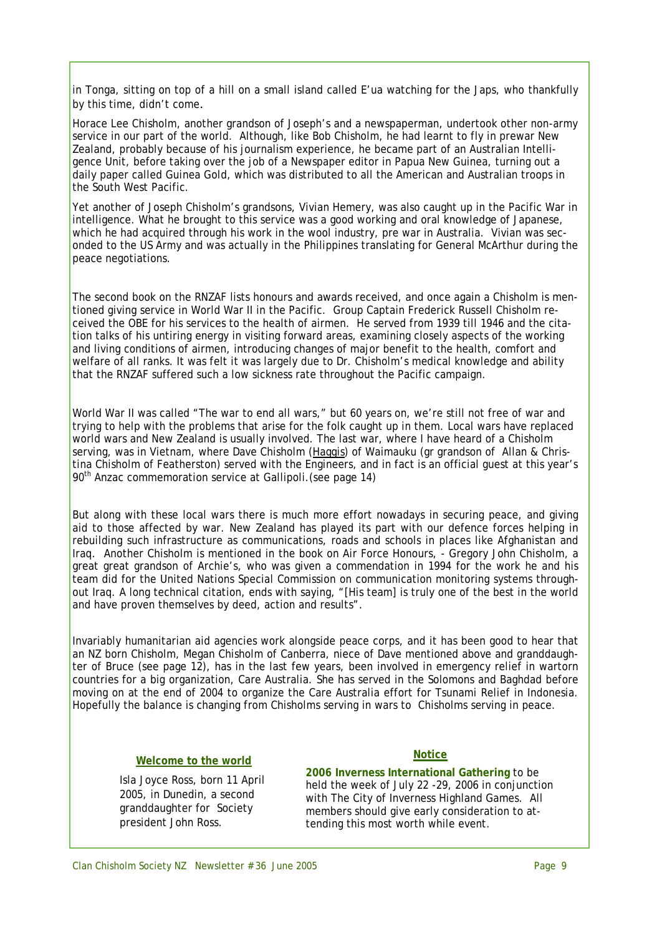in Tonga, sitting on top of a hill on a small island called E'ua watching for the Japs, who thankfully by this time, didn't come.

Horace Lee Chisholm, another grandson of Joseph's and a newspaperman, undertook other non-army service in our part of the world. Although, like Bob Chisholm, he had learnt to fly in prewar New Zealand, probably because of his journalism experience, he became part of an Australian Intelligence Unit, before taking over the job of a Newspaper editor in Papua New Guinea, turning out a daily paper called *Guinea Gold*, which was distributed to all the American and Australian troops in the South West Pacific.

Yet another of Joseph Chisholm's grandsons, Vivian Hemery, was also caught up in the Pacific War in intelligence. What he brought to this service was a good working and oral knowledge of Japanese, which he had acquired through his work in the wool industry, pre war in Australia. Vivian was seconded to the US Army and was actually in the Philippines translating for General McArthur during the peace negotiations.

The second book on the RNZAF lists honours and awards received, and once again a Chisholm is mentioned giving service in World War II in the Pacific. Group Captain Frederick Russell Chisholm received the OBE for his services to the health of airmen. He served from 1939 till 1946 and the citation talks of his untiring energy in visiting forward areas, examining closely aspects of the working and living conditions of airmen, introducing changes of major benefit to the health, comfort and welfare of all ranks. It was felt it was largely due to Dr. Chisholm's medical knowledge and ability that the RNZAF suffered such a low sickness rate throughout the Pacific campaign.

World War II was called "The war to end all wars," but 60 years on, we're still not free of war and trying to help with the problems that arise for the folk caught up in them. Local wars have replaced world wars and New Zealand is usually involved. The last war, where I have heard of a Chisholm serving, was in Vietnam, where Dave Chisholm (Haggis) of Waimauku (gr grandson of Allan & Christina Chisholm of Featherston) served with the Engineers, and in fact is an official guest at this year's 90<sup>th</sup> Anzac commemoration service at Gallipoli. (see page 14)

But along with these local wars there is much more effort nowadays in securing peace, and giving aid to those affected by war. New Zealand has played its part with our defence forces helping in rebuilding such infrastructure as communications, roads and schools in places like Afghanistan and Iraq. Another Chisholm is mentioned in the book on Air Force Honours, - Gregory John Chisholm, a great great grandson of Archie's, who was given a commendation in 1994 for the work he and his team did for the United Nations Special Commission on communication monitoring systems throughout Iraq. A long technical citation, ends with saying, "[His team] is truly one of the best in the world and have proven themselves by deed, action and results".

Invariably humanitarian aid agencies work alongside peace corps, and it has been good to hear that an NZ born Chisholm, Megan Chisholm of Canberra, niece of Dave mentioned above and granddaughter of Bruce (see page 12), has in the last few years, been involved in emergency relief in wartorn countries for a big organization, Care Australia. She has served in the Solomons and Baghdad before moving on at the end of 2004 to organize the Care Australia effort for Tsunami Relief in Indonesia. Hopefully the balance is changing from Chisholms serving in wars to Chisholms serving in peace.

#### **Welcome to the world**

Isla Joyce Ross, born 11 April 2005, in Dunedin, a second granddaughter for Society president John Ross.

#### **Notice**

**2006 Inverness International Gathering** to be held the week of July 22 -29, 2006 in conjunction with The City of Inverness Highland Games. All members should give early consideration to attending this most worth while event.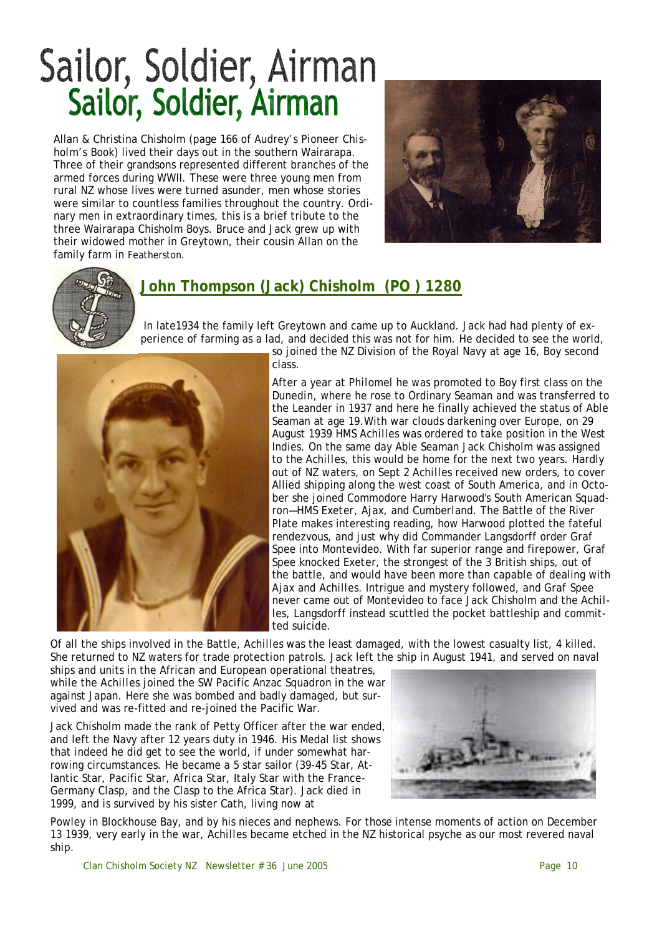# Sailor, Soldier, Airman Sailor, Soldier, Airman

Allan & Christina Chisholm (page 166 of Audrey's *Pioneer Chisholm's* Book) lived their days out in the southern Wairarapa. Three of their grandsons represented different branches of the armed forces during WWII. These were three young men from rural NZ whose lives were turned asunder, men whose stories were similar to countless families throughout the country. Ordinary men in extraordinary times, this is a brief tribute to the three Wairarapa Chisholm Boys. Bruce and Jack grew up with their widowed mother in Greytown, their cousin Allan on the family farm in Featherston.





## **John Thompson (Jack) Chisholm (PO ) 1280**

In late1934 the family left Greytown and came up to Auckland. Jack had had plenty of experience of farming as a lad, and decided this was not for him. He decided to see the world,



so joined the NZ Division of the Royal Navy at age 16, Boy second class.

After a year at *Philomel* he was promoted to Boy first class on the *Dunedin*, where he rose to Ordinary Seaman and was transferred to the *Leander* in 1937 and here he finally achieved the status of Able Seaman at age 19.With war clouds darkening over Europe, on 29 August 1939 *HMS Achilles* was ordered to take position in the West Indies. On the same day Able Seaman Jack Chisholm was assigned to the *Achilles*, this would be home for the next two years. Hardly out of NZ waters, on Sept 2 *Achilles* received new orders, to cover Allied shipping along the west coast of South America, and in October she joined Commodore Harry Harwood's South American Squadron—*HMS Exeter, Ajax, and Cumberland.* The Battle of the River Plate makes interesting reading, how Harwood plotted the fateful rendezvous, and just why did Commander Langsdorff order *Graf Spee* into Montevideo. With far superior range and firepower, *Graf Spee* knocked *Exete*r, the strongest of the 3 British ships, out of the battle, and would have been more than capable of dealing with *Ajax* and *Achilles.* Intrigue and mystery followed, and *Graf Spee*  never came out of Montevideo to face Jack Chisholm and the *Achilles*, Langsdorff instead scuttled the pocket battleship and committed suicide.

Of all the ships involved in the Battle, *Achilles* was the least damaged, with the lowest casualty list, 4 killed. She returned to NZ waters for trade protection patrols. Jack left the ship in August 1941, and served on naval

ships and units in the African and European operational theatres, while the *Achilles* joined the SW Pacific Anzac Squadron in the war against Japan. Here she was bombed and badly damaged, but survived and was re-fitted and re-joined the Pacific War.

Jack Chisholm made the rank of Petty Officer after the war ended, and left the Navy after 12 years duty in 1946. His Medal list shows that indeed he did get to see the world, if under somewhat harrowing circumstances. He became a 5 star sailor (39-45 Star, Atlantic Star, Pacific Star, Africa Star, Italy Star with the France-Germany Clasp, and the Clasp to the Africa Star). Jack died in 1999, and is survived by his sister Cath, living now at



Powley in Blockhouse Bay, and by his nieces and nephews. For those intense moments of action on December 13 1939, very early in the war, *Achilles* became etched in the NZ historical psyche as our most revered naval ship.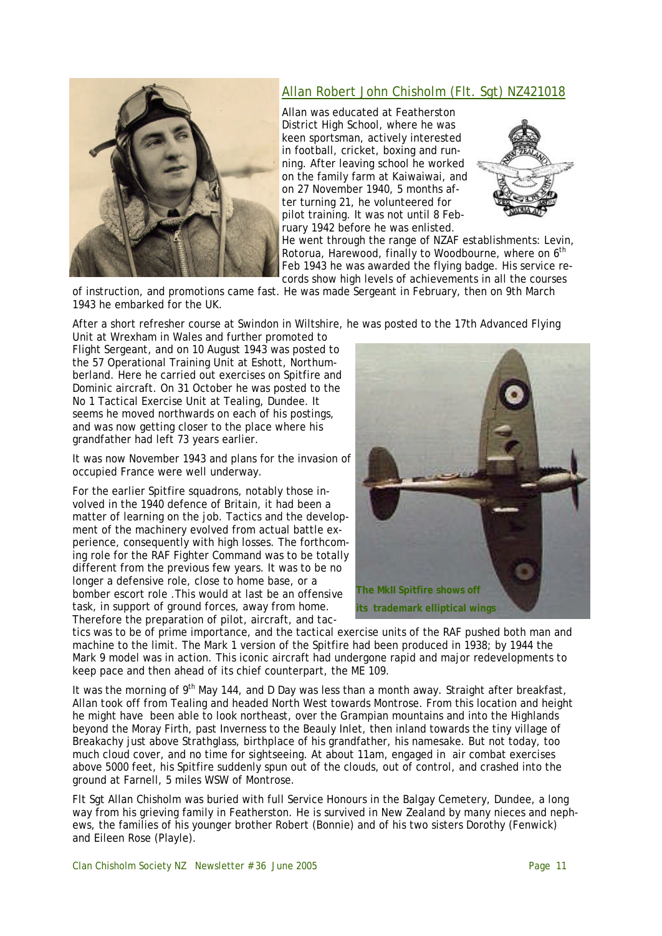

### Allan Robert John Chisholm (Flt. Sgt) NZ421018

Allan was educated at Featherston District High School, where he was keen sportsman, actively interested in football, cricket, boxing and running. After leaving school he worked on the family farm at Kaiwaiwai, and on 27 November 1940, 5 months after turning 21, he volunteered for pilot training. It was not until 8 February 1942 before he was enlisted.



He went through the range of NZAF establishments: Levin, Rotorua, Harewood, finally to Woodbourne, where on 6<sup>th</sup> Feb 1943 he was awarded the flying badge. His service records show high levels of achievements in all the courses

of instruction, and promotions came fast. He was made Sergeant in February, then on 9th March 1943 he embarked for the UK.

After a short refresher course at Swindon in Wiltshire, he was posted to the 17th Advanced Flying

Unit at Wrexham in Wales and further promoted to Flight Sergeant, and on 10 August 1943 was posted to the 57 Operational Training Unit at Eshott, Northumberland. Here he carried out exercises on Spitfire and Dominic aircraft. On 31 October he was posted to the No 1 Tactical Exercise Unit at Tealing, Dundee. It seems he moved northwards on each of his postings, and was now getting closer to the place where his grandfather had left 73 years earlier.

It was now November 1943 and plans for the invasion of occupied France were well underway.

For the earlier Spitfire squadrons, notably those involved in the 1940 defence of Britain, it had been a matter of learning on the job. Tactics and the development of the machinery evolved from actual battle experience, consequently with high losses. The forthcoming role for the RAF Fighter Command was to be totally different from the previous few years. It was to be no longer a defensive role, close to home base, or a bomber escort role .This would at last be an offensive task, in support of ground forces, away from home. Therefore the preparation of pilot, aircraft, and tac-



tics was to be of prime importance, and the tactical exercise units of the RAF pushed both man and machine to the limit. The Mark 1 version of the Spitfire had been produced in 1938; by 1944 the Mark 9 model was in action. This iconic aircraft had undergone rapid and major redevelopments to keep pace and then ahead of its chief counterpart, the ME 109.

It was the morning of 9<sup>th</sup> May 144, and D Day was less than a month away. Straight after breakfast, Allan took off from Tealing and headed North West towards Montrose. From this location and height he might have been able to look northeast, over the Grampian mountains and into the Highlands beyond the Moray Firth, past Inverness to the Beauly Inlet, then inland towards the tiny village of Breakachy just above Strathglass, birthplace of his grandfather, his namesake. But not today, too much cloud cover, and no time for sightseeing. At about 11am, engaged in air combat exercises above 5000 feet, his Spitfire suddenly spun out of the clouds, out of control, and crashed into the ground at Farnell, 5 miles WSW of Montrose.

Flt Sgt Allan Chisholm was buried with full Service Honours in the Balgay Cemetery, Dundee, a long way from his grieving family in Featherston. He is survived in New Zealand by many nieces and nephews, the families of his younger brother Robert (Bonnie) and of his two sisters Dorothy (Fenwick) and Eileen Rose (Playle).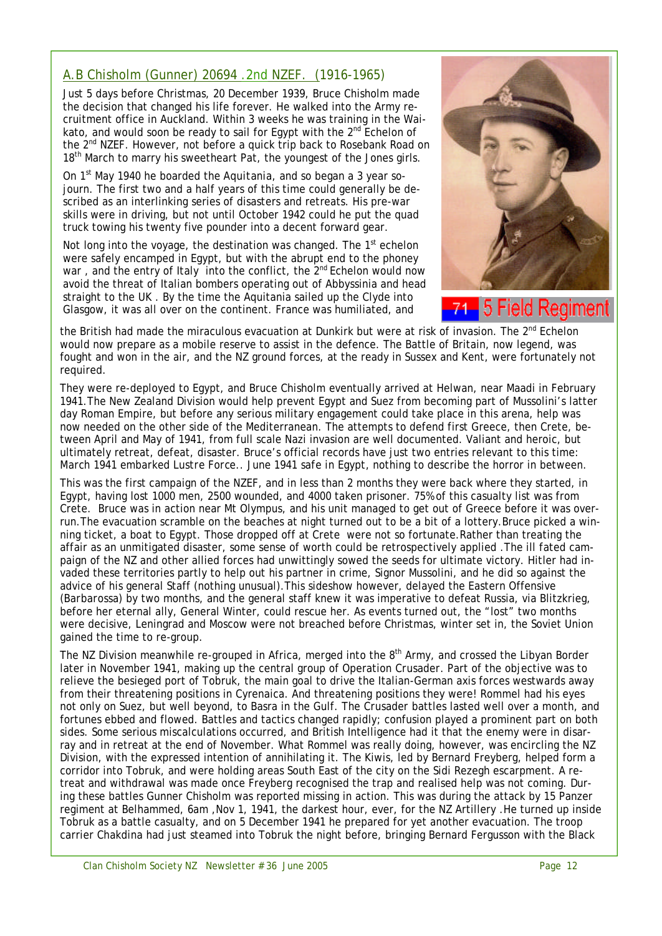## A.B Chisholm (Gunner) 20694 .2nd NZEF. (1916-1965)

Just 5 days before Christmas, 20 December 1939, Bruce Chisholm made the decision that changed his life forever. He walked into the Army recruitment office in Auckland. Within 3 weeks he was training in the Waikato, and would soon be ready to sail for Egypt with the  $2^{nd}$  Echelon of the 2<sup>nd</sup> NZEF. However, not before a quick trip back to Rosebank Road on 18<sup>th</sup> March to marry his sweetheart Pat, the youngest of the Jones girls.

On 1st May 1940 he boarded the *Aquitania*, and so began a 3 year sojourn. The first two and a half years of this time could generally be described as an interlinking series of disasters and retreats. His pre-war skills were in driving, but not until October 1942 could he put the quad truck towing his twenty five pounder into a decent forward gear.

Not long into the voyage, the destination was changed. The  $1<sup>st</sup>$  echelon were safely encamped in Egypt, but with the abrupt end to the phoney war, and the entry of Italy into the conflict, the 2<sup>nd</sup> Echelon would now avoid the threat of Italian bombers operating out of Abbyssinia and head straight to the UK . By the time the Aquitania sailed up the Clyde into Glasgow, it was all over on the continent. France was humiliated, and



5 Field Regiment

the British had made the miraculous evacuation at Dunkirk but were at risk of invasion. The 2<sup>nd</sup> Echelon would now prepare as a mobile reserve to assist in the defence. The Battle of Britain, now legend, was fought and won in the air, and the NZ ground forces, at the ready in Sussex and Kent, were fortunately not required.

They were re-deployed to Egypt, and Bruce Chisholm eventually arrived at Helwan, near Maadi in February 1941.The New Zealand Division would help prevent Egypt and Suez from becoming part of Mussolini's latter day Roman Empire, but before any serious military engagement could take place in this arena, help was now needed on the other side of the Mediterranean. The attempts to defend first Greece, then Crete, between April and May of 1941, from full scale Nazi invasion are well documented. Valiant and heroic, but ultimately retreat, defeat, disaster. Bruce's official records have just two entries relevant to this time: *March 1941 embarked Lustre Force.. June 1941 safe in Egypt,* nothing to describe the horror in between.

This was the first campaign of the NZEF, and in less than 2 months they were back where they started, in Egypt, having lost 1000 men, 2500 wounded, and 4000 taken prisoner. 75% of this casualty list was from Crete. Bruce was in action near Mt Olympus, and his unit managed to get out of Greece before it was overrun.The evacuation scramble on the beaches at night turned out to be a bit of a lottery.Bruce picked a winning ticket, a boat to Egypt. Those dropped off at Crete were not so fortunate.Rather than treating the affair as an unmitigated disaster, some sense of worth could be retrospectively applied .The ill fated campaign of the NZ and other allied forces had unwittingly sowed the seeds for ultimate victory. Hitler had invaded these territories partly to help out his partner in crime, Signor Mussolini, and he did so against the advice of his general Staff (nothing unusual).This sideshow however, delayed the Eastern Offensive (*Barbarossa*) by two months, and the general staff knew it was imperative to defeat Russia, via Blitzkrieg, before her eternal ally, General Winter, could rescue her. As events turned out, the "lost" two months were decisive, Leningrad and Moscow were not breached before Christmas, winter set in, the Soviet Union gained the time to re-group.

The NZ Division meanwhile re-grouped in Africa, merged into the  $8<sup>th</sup>$  Army, and crossed the Libyan Border later in November 1941, making up the central group of Operation *Crusader.* Part of the objective was to relieve the besieged port of Tobruk, the main goal to drive the Italian-German axis forces westwards away from their threatening positions in Cyrenaica. And threatening positions they were! Rommel had his eyes not only on Suez, but well beyond, to Basra in the Gulf. The *Crusader* battles lasted well over a month, and fortunes ebbed and flowed. Battles and tactics changed rapidly; confusion played a prominent part on both sides. Some serious miscalculations occurred, and British Intelligence had it that the enemy were in disarray and in retreat at the end of November. What Rommel was really doing, however, was encircling the NZ Division, with the expressed intention of annihilating it. The Kiwis, led by Bernard Freyberg, helped form a corridor into Tobruk, and were holding areas South East of the city on the Sidi Rezegh escarpment. A retreat and withdrawal was made once Freyberg recognised the trap and realised help was not coming. During these battles Gunner Chisholm was reported missing in action. This was during the attack by 15 Panzer regiment at Belhammed, 6am ,Nov 1, 1941, the darkest hour, ever, for the NZ Artillery .He turned up inside Tobruk as a battle casualty, and on 5 December 1941 he prepared for yet another evacuation. The troop carrier *Chakdina* had just steamed into Tobruk the night before, bringing Bernard Fergusson with the Black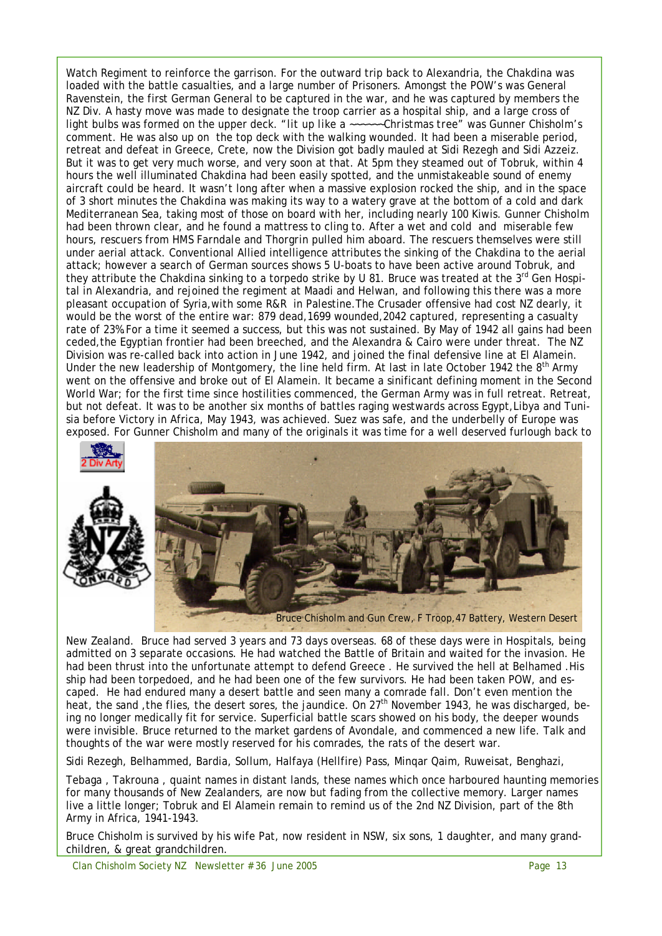Watch Regiment to reinforce the garrison. For the outward trip back to Alexandria, the Chakdina was loaded with the battle casualties, and a large number of Prisoners. Amongst the POW's was General Ravenstein, the first German General to be captured in the war, and he was captured by members the NZ Div. A hasty move was made to designate the troop carrier as a hospital ship, and a large cross of light bulbs was formed on the upper deck. "*lit up like a ~~~~~~Christmas tree*" was Gunner Chisholm's comment. He was also up on the top deck with the walking wounded. It had been a miserable period, retreat and defeat in Greece, Crete, now the Division got badly mauled at Sidi Rezegh and Sidi Azzeiz. But it was to get very much worse, and very soon at that. At 5pm they steamed out of Tobruk, within 4 hours the well illuminated *Chakdina* had been easily spotted, and the unmistakeable sound of enemy aircraft could be heard. It wasn't long after when a massive explosion rocked the ship, and in the space of 3 short minutes the *Chakdina* was making its way to a watery grave at the bottom of a cold and dark Mediterranean Sea, taking most of those on board with her, including nearly 100 Kiwis. Gunner Chisholm had been thrown clear, and he found a mattress to cling to. After a wet and cold and miserable few hours, rescuers from *HMS Farndale* and *Thorgrin* pulled him aboard. The rescuers themselves were still under aerial attack. Conventional Allied intelligence attributes the sinking of the *Chakdina* to the aerial attack; however a search of German sources shows 5 U-boats to have been active around Tobruk, and they attribute the *Chakdina* sinking to a torpedo strike by *U 81*. Bruce was treated at the 3rd Gen Hospital in Alexandria, and rejoined the regiment at Maadi and Helwan, and following this there was a more pleasant occupation of Syria,with some R&R in Palestine.The *Crusader* offensive had cost NZ dearly, it would be the worst of the entire war: 879 dead,1699 wounded,2042 captured, representing a casualty rate of 23%.For a time it seemed a success, but this was not sustained. By May of 1942 all gains had been ceded,the Egyptian frontier had been breeched, and the Alexandra & Cairo were under threat. The NZ Division was re-called back into action in June 1942, and joined the final defensive line at El Alamein. Under the new leadership of Montgomery, the line held firm. At last in late October 1942 the  $8<sup>th</sup>$  Army went on the offensive and broke out of El Alamein. It became a sinificant defining moment in the Second World War; for the first time since hostilities commenced, the German Army was in full retreat. Retreat, but not defeat. It was to be another six months of battles raging westwards across Egypt,Libya and Tunisia before Victory in Africa, May 1943, was achieved. Suez was safe, and the underbelly of Europe was exposed. For Gunner Chisholm and many of the originals it was time for a well deserved furlough back to



Bruce Chisholm and Gun Crew, F Troop,47 Battery, Western Desert

New Zealand. Bruce had served 3 years and 73 days overseas. 68 of these days were in Hospitals, being admitted on 3 separate occasions. He had watched the Battle of Britain and waited for the invasion. He had been thrust into the unfortunate attempt to defend Greece. He survived the hell at Belhamed. His ship had been torpedoed, and he had been one of the few survivors. He had been taken POW, and escaped. He had endured many a desert battle and seen many a comrade fall. Don't even mention the heat, the sand, the flies, the desert sores, the jaundice. On 27<sup>th</sup> November 1943, he was discharged, being no longer medically fit for service. Superficial battle scars showed on his body, the deeper wounds were invisible. Bruce returned to the market gardens of Avondale, and commenced a new life. Talk and thoughts of the war were mostly reserved for his comrades, the rats of the desert war.

Sidi Rezegh, Belhammed, Bardia, Sollum, Halfaya (Hellfire) Pass, Minqar Qaim, Ruweisat, Benghazi,

Tebaga , Takrouna , quaint names in distant lands, these names which once harboured haunting memories for many thousands of New Zealanders, are now but fading from the collective memory. Larger names live a little longer; Tobruk and El Alamein remain to remind us of the 2nd NZ Division, part of the 8th Army in Africa, 1941-1943.

Bruce Chisholm is survived by his wife Pat, now resident in NSW, six sons, 1 daughter, and many grandchildren, & great grandchildren.

Clan Chisholm Society NZ Newsletter # 36 June 2005 **Page 13** Page 13